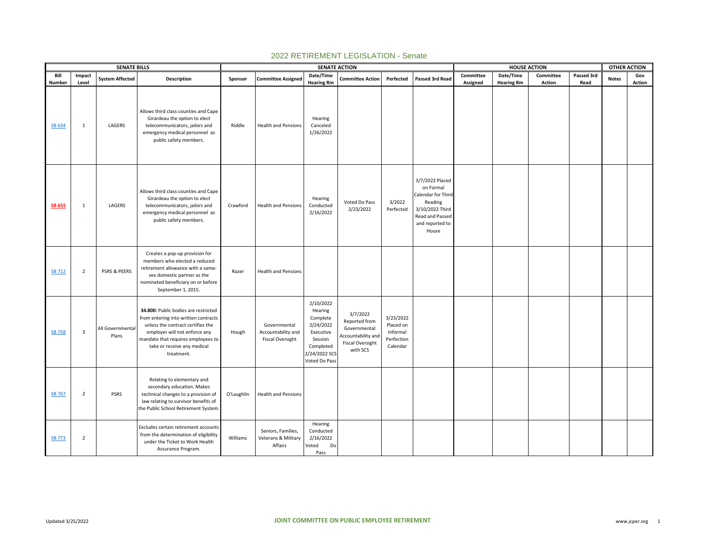|                  |                         | <b>SENATE BILLS</b>       |                                                                                                                                                                                                                                       |            |                                                               |                                                                                                                      | <b>SENATE ACTION</b>                                                                                   |                                                              |                                                                                                                                 |           | <b>HOUSE ACTION</b> |           |            | OTHER ACTION |               |
|------------------|-------------------------|---------------------------|---------------------------------------------------------------------------------------------------------------------------------------------------------------------------------------------------------------------------------------|------------|---------------------------------------------------------------|----------------------------------------------------------------------------------------------------------------------|--------------------------------------------------------------------------------------------------------|--------------------------------------------------------------|---------------------------------------------------------------------------------------------------------------------------------|-----------|---------------------|-----------|------------|--------------|---------------|
| Bill             | Impact                  | <b>System Affected</b>    | Description                                                                                                                                                                                                                           | Sponsor    | <b>Committee Assigned</b>                                     | Date/Time                                                                                                            | <b>Committee Action</b>                                                                                | Perfected                                                    | Passed 3rd Read                                                                                                                 | Committee | Date/Time           | Committee | Passed 3rd | <b>Notes</b> | Gov           |
| Number<br>SB 634 | Level<br>1              | LAGERS                    | Allows third class counties and Cape<br>Girardeau the option to elect<br>telecommunicators, jailors and<br>emergency medical personnel as<br>public safety members.                                                                   | Riddle     | <b>Health and Pensions</b>                                    | <b>Hearing Rm</b><br>Hearing<br>Canceled<br>1/26/2022                                                                |                                                                                                        |                                                              |                                                                                                                                 | Assigned  | <b>Hearing Rm</b>   | Action    | Read       |              | <b>Action</b> |
| <b>SB 655</b>    | 1                       | LAGERS                    | Allows third class counties and Cape<br>Girardeau the option to elect<br>telecommunicators, jailors and<br>emergency medical personnel as<br>public safety members.                                                                   | Crawford   | <b>Health and Pensions</b>                                    | Hearing<br>Conducted<br>2/16/2022                                                                                    | Voted Do Pass<br>2/23/2022                                                                             | 3/2022<br>Perfected                                          | 3/7/2022 Placed<br>on Formal<br>Calendar for Third<br>Reading<br>3/10/2022 Third<br>Read and Passed<br>and reported to<br>House |           |                     |           |            |              |               |
| <b>SB 712</b>    | $\overline{2}$          | PSRS & PEERS              | Creates a pop-up provision for<br>members who elected a reduced<br>retirement allowance with a same-<br>sex domestic partner as the<br>nominated beneficiary on or before<br>September 1, 2015.                                       | Razer      | <b>Health and Pensions</b>                                    |                                                                                                                      |                                                                                                        |                                                              |                                                                                                                                 |           |                     |           |            |              |               |
| <b>SB 758</b>    | $\overline{\mathbf{3}}$ | All Governmental<br>Plans | 34.800: Public bodies are restricted<br>from entering into written contracts<br>unless the contract certifies the<br>employer will not enforce any<br>mandate that requires employees to<br>take or receive any medical<br>treatment. | Hough      | Governmental<br>Accountability and<br><b>Fiscal Oversight</b> | 2/10/2022<br>Hearing<br>Complete<br>2/24/2022<br>Executive<br>Session<br>Completed<br>2/24/2022 SCS<br>Voted Do Pass | 3/7/2022<br>Reported from<br>Governmental<br>Accountability and<br><b>Fiscal Oversight</b><br>with SCS | 3/23/2022<br>Placed on<br>Informal<br>Perfection<br>Calendar |                                                                                                                                 |           |                     |           |            |              |               |
| <b>SB 767</b>    | $\overline{2}$          | <b>PSRS</b>               | Relating to elementary and<br>secondary education. Makes<br>technical changes to a provision of<br>law relating to survivor benefits of<br>the Public School Retirement System.                                                       | O'Laughlin | <b>Health and Pensions</b>                                    |                                                                                                                      |                                                                                                        |                                                              |                                                                                                                                 |           |                     |           |            |              |               |
| <b>SB 773</b>    | $\overline{2}$          |                           | Excludes certain retirement accounts<br>from the determination of eligibility<br>under the Ticket to Work Health<br>Assurance Program.                                                                                                | Williams   | Seniors, Families,<br>Veterans & Military<br>Affairs          | Hearing<br>Conducted<br>2/16/2022<br>Voted<br>Do<br>Pass                                                             |                                                                                                        |                                                              |                                                                                                                                 |           |                     |           |            |              |               |

## 2022 RETIREMENT LEGISLATION - Senate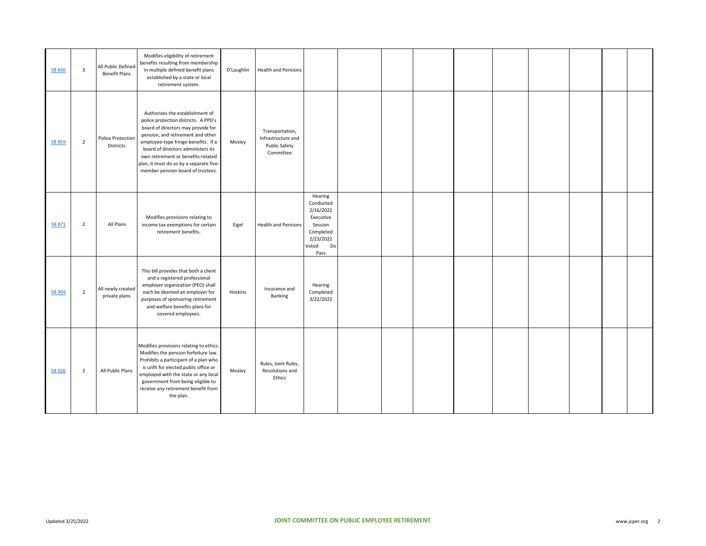| <b>SB 836</b> | 3              | All Public Defined<br><b>Benefit Plans</b> | Modifies eligibility of retirement<br>benefits resulting from membership<br>in multiple defined benefit plans<br>established by a state or local<br>retirement system.                                                                                                                                                                                | O'Laughlin | Health and Pensions                                                 |                                                                                                            |  |  |  |  |  |
|---------------|----------------|--------------------------------------------|-------------------------------------------------------------------------------------------------------------------------------------------------------------------------------------------------------------------------------------------------------------------------------------------------------------------------------------------------------|------------|---------------------------------------------------------------------|------------------------------------------------------------------------------------------------------------|--|--|--|--|--|
| <b>SB 859</b> | $\overline{2}$ | Police Protection<br>Districts             | Authorizes the establishment of<br>police protection districts. A PPD's<br>board of directors may provide for<br>pension, and retirement and other<br>employee-type fringe-benefits. If a<br>board of directors administers its<br>own retirement or benefits-related<br>plan, it must do so by a separate five-<br>member pension board of trustees. | Mosley     | Transportation,<br>Infrastructure and<br>Public Safety<br>Committee |                                                                                                            |  |  |  |  |  |
| <b>SB 871</b> | $\overline{2}$ | All Plans                                  | Modifies provisions relating to<br>income tax exemptions for certain<br>retirement benefits.                                                                                                                                                                                                                                                          | Eigel      | <b>Health and Pensions</b>                                          | Hearing<br>Conducted<br>2/16/2022<br>Executive<br>Session<br>Completed<br>2/23/2022<br>Voted<br>Do<br>Pass |  |  |  |  |  |
| <b>SB 904</b> | $\overline{2}$ | All newly created<br>private plans         | This bill provides that both a client<br>and a registered professional<br>employer organization (PEO) shall<br>each be deemed an employer for<br>purposes of sponsoring retirement<br>and welfare benefits plans for<br>covered employees.                                                                                                            | Hoskins    | Insurance and<br>Banking                                            | Hearing<br>Completed<br>3/22/2022                                                                          |  |  |  |  |  |
| <b>SB 926</b> | $\overline{2}$ | All Public Plans                           | Modifies provisions relating to ethics.<br>Modifies the pension forfeiture law.<br>Prohibits a participant of a plan who<br>is unfit for elected public office or<br>employed with the state or any local<br>government from being eligible to<br>receive any retirement benefit from<br>the plan.                                                    | Mosley     | Rules, Joint Rules,<br>Resolutions and<br>Ethics                    |                                                                                                            |  |  |  |  |  |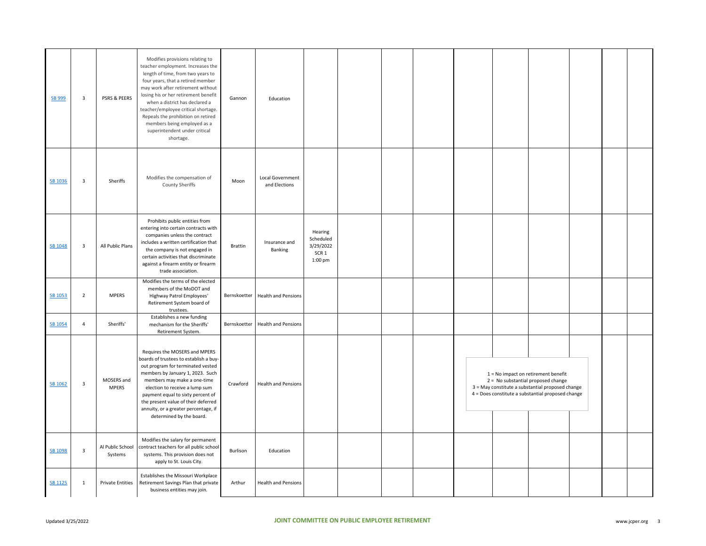| SB 999         | $\overline{\mathbf{3}}$ | PSRS & PEERS                | Modifies provisions relating to<br>teacher employment. Increases the<br>length of time, from two years to<br>four years, that a retired member<br>may work after retirement without<br>losing his or her retirement benefit<br>when a district has declared a<br>teacher/employee critical shortage.<br>Repeals the prohibition on retired<br>members being employed as a<br>superintendent under critical<br>shortage. | Gannon         | Education                          |                                                                    |  |  |                                                                                                                                                                                      |  |  |
|----------------|-------------------------|-----------------------------|-------------------------------------------------------------------------------------------------------------------------------------------------------------------------------------------------------------------------------------------------------------------------------------------------------------------------------------------------------------------------------------------------------------------------|----------------|------------------------------------|--------------------------------------------------------------------|--|--|--------------------------------------------------------------------------------------------------------------------------------------------------------------------------------------|--|--|
| SB 1036        | $\overline{\mathbf{3}}$ | Sheriffs                    | Modifies the compensation of<br>County Sheriffs                                                                                                                                                                                                                                                                                                                                                                         | Moon           | Local Government<br>and Elections  |                                                                    |  |  |                                                                                                                                                                                      |  |  |
| SB 1048        | $\overline{\mathbf{3}}$ | All Public Plans            | Prohibits public entities from<br>entering into certain contracts with<br>companies unless the contract<br>includes a written certification that<br>the company is not engaged in<br>certain activities that discriminate<br>against a firearm entity or firearm<br>trade association.                                                                                                                                  | <b>Brattin</b> | Insurance and<br>Banking           | Hearing<br>Scheduled<br>3/29/2022<br>SCR <sub>1</sub><br>$1:00$ pm |  |  |                                                                                                                                                                                      |  |  |
| SB 1053        | $\overline{2}$          | <b>MPERS</b>                | Modifies the terms of the elected<br>members of the MoDOT and<br>Highway Patrol Employees'<br>Retirement System board of<br>trustees.                                                                                                                                                                                                                                                                                   |                | Bernskoetter   Health and Pensions |                                                                    |  |  |                                                                                                                                                                                      |  |  |
| SB 1054        | $\overline{4}$          | Sheriffs'                   | Establishes a new funding<br>mechanism for the Sheriffs'<br>Retirement System.                                                                                                                                                                                                                                                                                                                                          | Bernskoetter   | <b>Health and Pensions</b>         |                                                                    |  |  |                                                                                                                                                                                      |  |  |
| SB 1062        | $\overline{\mathbf{3}}$ | MOSERS and<br><b>MPERS</b>  | Requires the MOSERS and MPERS<br>boards of trustees to establish a buy-<br>out program for terminated vested<br>members by January 1, 2023. Such<br>members may make a one-time<br>election to receive a lump sum<br>payment equal to sixty percent of<br>the present value of their deferred<br>annuity, or a greater percentage, if<br>determined by the board.                                                       | Crawford       | <b>Health and Pensions</b>         |                                                                    |  |  | $1 = No$ impact on retirement benefit<br>2 = No substantial proposed change<br>3 = May constitute a substantial proposed change<br>4 = Does constitute a substantial proposed change |  |  |
| SB 1098        | $\overline{\mathbf{3}}$ | Al Public School<br>Systems | Modifies the salary for permanent<br>contract teachers for all public school<br>systems. This provision does not<br>apply to St. Louis City.                                                                                                                                                                                                                                                                            | Burlison       | Education                          |                                                                    |  |  |                                                                                                                                                                                      |  |  |
| <b>SB 1125</b> | $\mathbf{1}$            | <b>Private Entities</b>     | Establishes the Missouri Workplace<br>Retirement Savings Plan that private<br>business entities may join.                                                                                                                                                                                                                                                                                                               | Arthur         | <b>Health and Pensions</b>         |                                                                    |  |  |                                                                                                                                                                                      |  |  |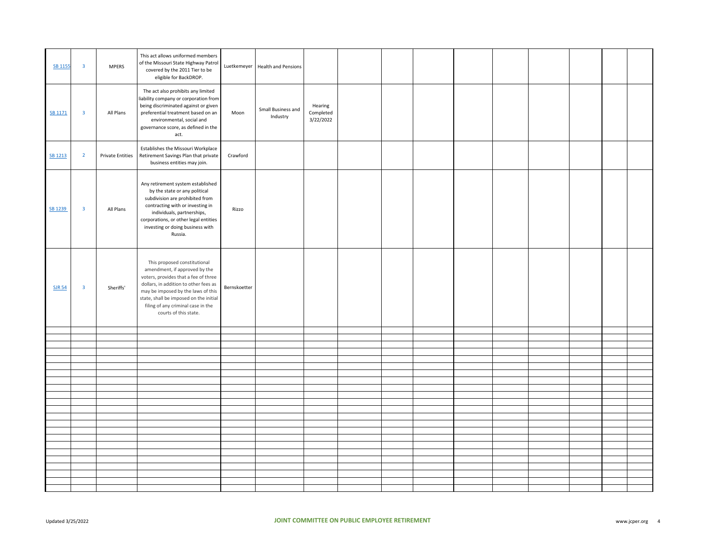|                |                         |                         | This act allows uniformed members                                                                                                                                                                                                                                                             |              |                                   |                                   |  |  |  |  |  |
|----------------|-------------------------|-------------------------|-----------------------------------------------------------------------------------------------------------------------------------------------------------------------------------------------------------------------------------------------------------------------------------------------|--------------|-----------------------------------|-----------------------------------|--|--|--|--|--|
| <b>SB 1155</b> | $\overline{\mathbf{3}}$ | <b>MPERS</b>            | of the Missouri State Highway Patrol<br>covered by the 2011 Tier to be<br>eligible for BackDROP.                                                                                                                                                                                              |              | Luetkemeyer   Health and Pensions |                                   |  |  |  |  |  |
| SB 1171        | $\overline{\mathbf{3}}$ | All Plans               | The act also prohibits any limited<br>liability company or corporation from<br>being discriminated against or given<br>preferential treatment based on an<br>environmental, social and<br>governance score, as defined in the<br>act.                                                         | Moon         | Small Business and<br>Industry    | Hearing<br>Completed<br>3/22/2022 |  |  |  |  |  |
| SB 1213        | $\overline{2}$          | <b>Private Entities</b> | Establishes the Missouri Workplace<br>Retirement Savings Plan that private<br>business entities may join.                                                                                                                                                                                     | Crawford     |                                   |                                   |  |  |  |  |  |
| SB 1239        | $\overline{\mathbf{3}}$ | All Plans               | Any retirement system established<br>by the state or any political<br>subdivision are prohibited from<br>contracting with or investing in<br>individuals, partnerships,<br>corporations, or other legal entities<br>investing or doing business with<br>Russia.                               | Rizzo        |                                   |                                   |  |  |  |  |  |
| <b>SJR 54</b>  | $\overline{\mathbf{3}}$ | Sheriffs'               | This proposed constitutional<br>amendment, if approved by the<br>voters, provides that a fee of three<br>dollars, in addition to other fees as<br>may be imposed by the laws of this<br>state, shall be imposed on the initial<br>filing of any criminal case in the<br>courts of this state. | Bernskoetter |                                   |                                   |  |  |  |  |  |
|                |                         |                         |                                                                                                                                                                                                                                                                                               |              |                                   |                                   |  |  |  |  |  |
|                |                         |                         |                                                                                                                                                                                                                                                                                               |              |                                   |                                   |  |  |  |  |  |
|                |                         |                         |                                                                                                                                                                                                                                                                                               |              |                                   |                                   |  |  |  |  |  |
|                |                         |                         |                                                                                                                                                                                                                                                                                               |              |                                   |                                   |  |  |  |  |  |
|                |                         |                         |                                                                                                                                                                                                                                                                                               |              |                                   |                                   |  |  |  |  |  |
|                |                         |                         |                                                                                                                                                                                                                                                                                               |              |                                   |                                   |  |  |  |  |  |
|                |                         |                         |                                                                                                                                                                                                                                                                                               |              |                                   |                                   |  |  |  |  |  |
|                |                         |                         |                                                                                                                                                                                                                                                                                               |              |                                   |                                   |  |  |  |  |  |
|                |                         |                         |                                                                                                                                                                                                                                                                                               |              |                                   |                                   |  |  |  |  |  |
|                |                         |                         |                                                                                                                                                                                                                                                                                               |              |                                   |                                   |  |  |  |  |  |
|                |                         |                         |                                                                                                                                                                                                                                                                                               |              |                                   |                                   |  |  |  |  |  |
|                |                         |                         |                                                                                                                                                                                                                                                                                               |              |                                   |                                   |  |  |  |  |  |
|                |                         |                         |                                                                                                                                                                                                                                                                                               |              |                                   |                                   |  |  |  |  |  |
|                |                         |                         |                                                                                                                                                                                                                                                                                               |              |                                   |                                   |  |  |  |  |  |
|                |                         |                         |                                                                                                                                                                                                                                                                                               |              |                                   |                                   |  |  |  |  |  |
|                |                         |                         |                                                                                                                                                                                                                                                                                               |              |                                   |                                   |  |  |  |  |  |
|                |                         |                         |                                                                                                                                                                                                                                                                                               |              |                                   |                                   |  |  |  |  |  |
|                |                         |                         |                                                                                                                                                                                                                                                                                               |              |                                   |                                   |  |  |  |  |  |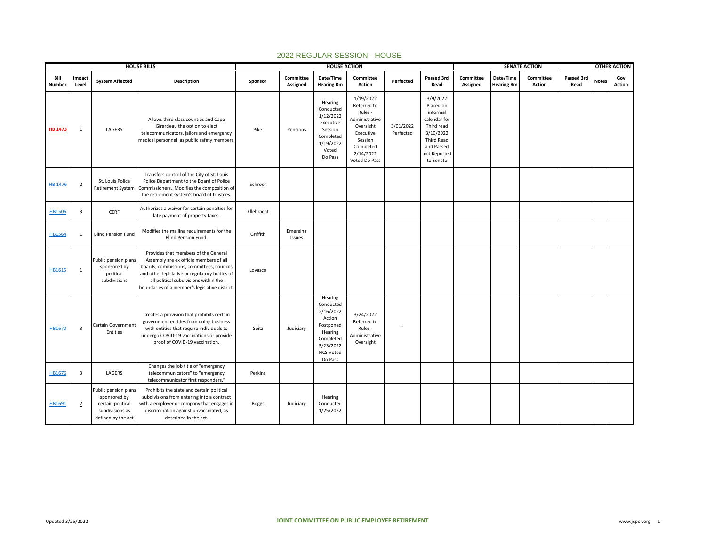|                       |                         |                                                                                                    | <b>HOUSE BILLS</b>                                                                                                                                                                                                                                                     |            |                       | <b>HOUSE ACTION</b>                                                                                                          |                                                                                                                                       |                        |                                                                                                                                              |                       |                                | <b>SENATE ACTION</b>       |                    |              | <b>OTHER ACTION</b>  |
|-----------------------|-------------------------|----------------------------------------------------------------------------------------------------|------------------------------------------------------------------------------------------------------------------------------------------------------------------------------------------------------------------------------------------------------------------------|------------|-----------------------|------------------------------------------------------------------------------------------------------------------------------|---------------------------------------------------------------------------------------------------------------------------------------|------------------------|----------------------------------------------------------------------------------------------------------------------------------------------|-----------------------|--------------------------------|----------------------------|--------------------|--------------|----------------------|
| Bill<br><b>Number</b> | Impact<br>Level         | <b>System Affected</b>                                                                             | Description                                                                                                                                                                                                                                                            | Sponsor    | Committee<br>Assigned | Date/Time<br><b>Hearing Rm</b>                                                                                               | Committee<br><b>Action</b>                                                                                                            | Perfected              | Passed 3rd<br>Read                                                                                                                           | Committee<br>Assigned | Date/Time<br><b>Hearing Rm</b> | Committee<br><b>Action</b> | Passed 3rd<br>Read | <b>Notes</b> | Gov<br><b>Action</b> |
| <b>HB 1473</b>        | $\mathbf{1}$            | LAGERS                                                                                             | Allows third class counties and Cape<br>Girardeau the option to elect<br>telecommunicators, jailors and emergency<br>medical personnel as public safety members                                                                                                        | Pike       | Pensions              | Hearing<br>Conducted<br>1/12/2022<br>Executive<br>Session<br>Completed<br>1/19/2022<br>Voted<br>Do Pass                      | 1/19/2022<br>Referred to<br>Rules -<br>Administrative<br>Oversight<br>Executive<br>Session<br>Completed<br>2/14/2022<br>Voted Do Pass | 3/01/2022<br>Perfected | 3/9/2022<br>Placed on<br>informal<br>calendar for<br>Third read<br>3/10/2022<br><b>Third Read</b><br>and Passed<br>and Reported<br>to Senate |                       |                                |                            |                    |              |                      |
| <b>HB 1476</b>        | $\overline{2}$          | St. Louis Police<br><b>Retirement System</b>                                                       | Transfers control of the City of St. Louis<br>Police Department to the Board of Police<br>Commissioners. Modifies the composition of<br>the retirement system's board of trustees.                                                                                     | Schroer    |                       |                                                                                                                              |                                                                                                                                       |                        |                                                                                                                                              |                       |                                |                            |                    |              |                      |
| <b>HB1506</b>         | $\overline{\mathbf{3}}$ | CERF                                                                                               | Authorizes a waiver for certain penalties for<br>late payment of property taxes.                                                                                                                                                                                       | Ellebracht |                       |                                                                                                                              |                                                                                                                                       |                        |                                                                                                                                              |                       |                                |                            |                    |              |                      |
| HB1564                | 1                       | <b>Blind Pension Fund</b>                                                                          | Modifies the mailing requirements for the<br>Blind Pension Fund.                                                                                                                                                                                                       | Griffith   | Emerging<br>Issues    |                                                                                                                              |                                                                                                                                       |                        |                                                                                                                                              |                       |                                |                            |                    |              |                      |
| HB1615                | 1                       | Public pension plans<br>sponsored by<br>political<br>subdivisions                                  | Provides that members of the General<br>Assembly are ex officio members of all<br>boards, commissions, committees, councils<br>and other legislative or regulatory bodies of<br>all political subdivisions within the<br>boundaries of a member's legislative district | Lovasco    |                       |                                                                                                                              |                                                                                                                                       |                        |                                                                                                                                              |                       |                                |                            |                    |              |                      |
| HB1670                | $\overline{3}$          | Certain Government<br>Entities                                                                     | Creates a provision that prohibits certain<br>government entities from doing business<br>with entities that require individuals to<br>undergo COVID-19 vaccinations or provide<br>proof of COVID-19 vaccination.                                                       | Seitz      | Judiciary             | Hearing<br>Conducted<br>2/16/2022<br>Action<br>Postponed<br>Hearing<br>Completed<br>3/23/2022<br><b>HCS Voted</b><br>Do Pass | 3/24/2022<br>Referred to<br>Rules -<br>Administrative<br>Oversight                                                                    |                        |                                                                                                                                              |                       |                                |                            |                    |              |                      |
| HB1676                | $\overline{\mathbf{3}}$ | LAGERS                                                                                             | Changes the job title of "emergency<br>telecommunicators" to "emergency<br>telecommunicator first responders."                                                                                                                                                         | Perkins    |                       |                                                                                                                              |                                                                                                                                       |                        |                                                                                                                                              |                       |                                |                            |                    |              |                      |
| HB1691                | $\overline{2}$          | Public pension plans<br>sponsored by<br>certain political<br>subdivisions as<br>defined by the act | Prohibits the state and certain political<br>subdivisions from entering into a contract<br>with a employer or company that engages in<br>discrimination against unvaccinated, as<br>described in the act.                                                              | Boggs      | Judiciary             | Hearing<br>Conducted<br>1/25/2022                                                                                            |                                                                                                                                       |                        |                                                                                                                                              |                       |                                |                            |                    |              |                      |

## 2022 REGULAR SESSION - HOUSE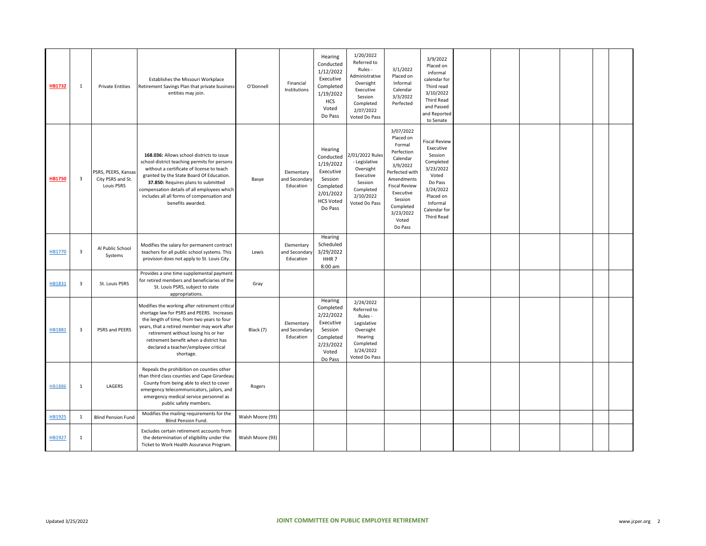| <b>HB1732</b> | 1                       | <b>Private Entities</b>                                | Establishes the Missouri Workplace<br>Retirement Savings Plan that private business<br>entities may join.                                                                                                                                                                                                                                   | O'Donnell        | Financial<br>Institutions                | Hearing<br>Conducted<br>1/12/2022<br>Executive<br>Completed<br>1/19/2022<br><b>HCS</b><br>Voted<br>Do Pass         | 1/20/2022<br>Referred to<br>Rules -<br>Administrative<br>Oversight<br>Executive<br>Session<br>Completed<br>2/07/2022<br>Voted Do Pass | 3/1/2022<br>Placed on<br>Informal<br>Calendar<br>3/3/2022<br>Perfected                                                                                                                               | 3/9/2022<br>Placed on<br>informal<br>calendar for<br>Third read<br>3/10/2022<br><b>Third Read</b><br>and Passed<br>and Reported<br>to Senate                          |  |  |  |
|---------------|-------------------------|--------------------------------------------------------|---------------------------------------------------------------------------------------------------------------------------------------------------------------------------------------------------------------------------------------------------------------------------------------------------------------------------------------------|------------------|------------------------------------------|--------------------------------------------------------------------------------------------------------------------|---------------------------------------------------------------------------------------------------------------------------------------|------------------------------------------------------------------------------------------------------------------------------------------------------------------------------------------------------|-----------------------------------------------------------------------------------------------------------------------------------------------------------------------|--|--|--|
| <b>HB1750</b> | 3                       | PSRS, PEERS, Kansas<br>City PSRS and St.<br>Louis PSRS | 168.036: Allows school districts to issue<br>school district teaching permits for persons<br>without a certificate of license to teach<br>granted by the State Board Of Education.<br>37.850: Requires plans to submitted<br>compensation details of all employees which<br>includes all all forms of compensation and<br>benefits awarded. | Basye            | Elementary<br>and Secondary<br>Education | Hearing<br>Conducted<br>1/19/2022<br>Executive<br>Session<br>Completed<br>2/01/2022<br><b>HCS Voted</b><br>Do Pass | 2/01/2022 Rules<br>- Legislative<br>Oversight<br>Executive<br>Session<br>Completed<br>2/10/2022<br>Voted Do Pass                      | 3/07/2022<br>Placed on<br>Formal<br>Perfection<br>Calendar<br>3/9/2022<br>Perfected with<br>Amendments<br><b>Fiscal Review</b><br>Executive<br>Session<br>Completed<br>3/23/2022<br>Voted<br>Do Pass | <b>Fiscal Review</b><br>Executive<br>Session<br>Completed<br>3/23/2022<br>Voted<br>Do Pass<br>3/24/2022<br>Placed on<br>Informal<br>Calendar for<br><b>Third Read</b> |  |  |  |
| HB1770        | $\overline{\mathbf{3}}$ | Al Public School<br>Systems                            | Modifies the salary for permanent contract<br>teachers for all public school systems. This<br>provision does not apply to St. Louis City.                                                                                                                                                                                                   | Lewis            | Elementary<br>and Secondary<br>Education | Hearing<br>Scheduled<br>3/29/2022<br>HHR <sub>7</sub><br>8:00 am                                                   |                                                                                                                                       |                                                                                                                                                                                                      |                                                                                                                                                                       |  |  |  |
| HB1831        | 3                       | St. Louis PSRS                                         | Provides a one time supplemental payment<br>for retired members and beneficiaries of the<br>St. Louis PSRS, subject to state<br>appropriations.                                                                                                                                                                                             | Gray             |                                          |                                                                                                                    |                                                                                                                                       |                                                                                                                                                                                                      |                                                                                                                                                                       |  |  |  |
| HB1881        | 3                       | PSRS and PEERS                                         | Modifies the working after retirement critical<br>shortage law for PSRS and PEERS. Increases<br>the length of time, from two years to four<br>years, that a retired member may work after<br>retirement without losing his or her<br>retirement benefit when a district has<br>declared a teacher/employee critical<br>shortage.            | Black (7)        | Elementary<br>and Secondary<br>Education | Hearing<br>Completed<br>2/22/2022<br>Executive<br>Session<br>Completed<br>2/23/2022<br>Voted<br>Do Pass            | 2/24/2022<br>Referred to<br>Rules -<br>Legislative<br>Oversight<br>Hearing<br>Completed<br>3/24/2022<br>Voted Do Pass                 |                                                                                                                                                                                                      |                                                                                                                                                                       |  |  |  |
| <b>HB1886</b> | 1                       | LAGERS                                                 | Repeals the prohibition on counties other<br>than third class counties and Cape Girardeau<br>County from being able to elect to cover<br>emergency telecommunicators, jailors, and<br>emergency medical service personnel as<br>public safety members.                                                                                      | Rogers           |                                          |                                                                                                                    |                                                                                                                                       |                                                                                                                                                                                                      |                                                                                                                                                                       |  |  |  |
| HB1925        | 1                       | <b>Blind Pension Fund</b>                              | Modifies the mailing requirements for the<br><b>Blind Pension Fund.</b>                                                                                                                                                                                                                                                                     | Walsh Moore (93) |                                          |                                                                                                                    |                                                                                                                                       |                                                                                                                                                                                                      |                                                                                                                                                                       |  |  |  |
| HB1927        | 1                       |                                                        | Excludes certain retirement accounts from<br>the determination of eligibility under the<br>Ticket to Work Health Assurance Program.                                                                                                                                                                                                         | Walsh Moore (93) |                                          |                                                                                                                    |                                                                                                                                       |                                                                                                                                                                                                      |                                                                                                                                                                       |  |  |  |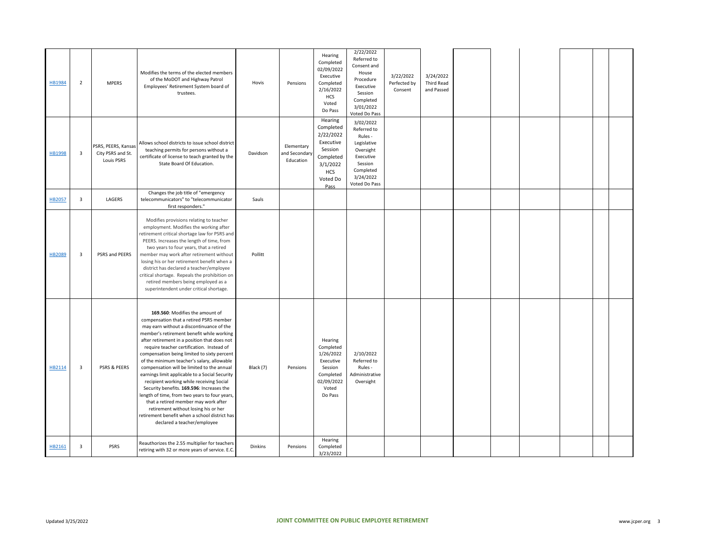| HB1984 | $\overline{2}$          | <b>MPERS</b>                                           | Modifies the terms of the elected members<br>of the MoDOT and Highway Patrol<br>Employees' Retirement System board of<br>trustees.                                                                                                                                                                                                                                                                                                                                                                                                                                                                                                                                                                                                                                      | Hovis     | Pensions                                 | Hearing<br>Completed<br>02/09/2022<br>Executive<br>Completed<br>2/16/2022<br><b>HCS</b><br>Voted<br>Do Pass          | 2/22/2022<br>Referred to<br>Consent and<br>House<br>Procedure<br>Executive<br>Session<br>Completed<br>3/01/2022<br>Voted Do Pass   | 3/22/2022<br>Perfected by<br>Consent | 3/24/2022<br>Third Read<br>and Passed |  |  |  |
|--------|-------------------------|--------------------------------------------------------|-------------------------------------------------------------------------------------------------------------------------------------------------------------------------------------------------------------------------------------------------------------------------------------------------------------------------------------------------------------------------------------------------------------------------------------------------------------------------------------------------------------------------------------------------------------------------------------------------------------------------------------------------------------------------------------------------------------------------------------------------------------------------|-----------|------------------------------------------|----------------------------------------------------------------------------------------------------------------------|------------------------------------------------------------------------------------------------------------------------------------|--------------------------------------|---------------------------------------|--|--|--|
| HB1998 | $\overline{\mathbf{3}}$ | PSRS, PEERS, Kansas<br>City PSRS and St.<br>Louis PSRS | Allows school districts to issue school district<br>teaching permits for persons without a<br>certificate of license to teach granted by the<br>State Board Of Education.                                                                                                                                                                                                                                                                                                                                                                                                                                                                                                                                                                                               | Davidson  | Elementary<br>ind Secondary<br>Education | Hearing<br>Completed<br>2/22/2022<br>Executive<br>Session<br>Completed<br>3/1/2022<br><b>HCS</b><br>Voted Do<br>Pass | 3/02/2022<br>Referred to<br>Rules -<br>Legislative<br>Oversight<br>Executive<br>Session<br>Completed<br>3/24/2022<br>Voted Do Pass |                                      |                                       |  |  |  |
| HB2057 | $\overline{\mathbf{3}}$ | LAGERS                                                 | Changes the job title of "emergency<br>telecommunicators" to "telecommunicator<br>first responders."                                                                                                                                                                                                                                                                                                                                                                                                                                                                                                                                                                                                                                                                    | Sauls     |                                          |                                                                                                                      |                                                                                                                                    |                                      |                                       |  |  |  |
| HB2089 | 3                       | PSRS and PEERS                                         | Modifies provisions relating to teacher<br>employment. Modifies the working after<br>retirement critical shortage law for PSRS and<br>PEERS. Increases the length of time, from<br>two years to four years, that a retired<br>member may work after retirement without<br>losing his or her retirement benefit when a<br>district has declared a teacher/employee<br>critical shortage. Repeals the prohibition on<br>retired members being employed as a<br>superintendent under critical shortage.                                                                                                                                                                                                                                                                    | Pollitt   |                                          |                                                                                                                      |                                                                                                                                    |                                      |                                       |  |  |  |
| HB2114 | $\overline{\mathbf{3}}$ | PSRS & PEERS                                           | 169.560: Modifies the amount of<br>compensation that a retired PSRS member<br>may earn without a discontinuance of the<br>member's retirement benefit while working<br>after retirement in a position that does not<br>require teacher certification. Instead of<br>compensation being limited to sixty percent<br>of the minimum teacher's salary, allowable<br>compensation will be limited to the annual<br>earnings limit applicable to a Social Security<br>recipient working while receiving Social<br>Security benefits. 169.596: Increases the<br>length of time, from two years to four years,<br>that a retired member may work after<br>retirement without losing his or her<br>retirement benefit when a school district has<br>declared a teacher/employee | Black (7) | Pensions                                 | Hearing<br>Completed<br>1/26/2022<br>Executive<br>Session<br>Completed<br>02/09/2022<br>Voted<br>Do Pass             | 2/10/2022<br>Referred to<br>Rules -<br>Administrative<br>Oversight                                                                 |                                      |                                       |  |  |  |
| HB2161 | $\overline{\mathbf{3}}$ | <b>PSRS</b>                                            | Reauthorizes the 2.55 multiplier for teachers<br>retiring with 32 or more years of service. E.C.                                                                                                                                                                                                                                                                                                                                                                                                                                                                                                                                                                                                                                                                        | Dinkins   | Pensions                                 | Hearing<br>Completed<br>3/23/2022                                                                                    |                                                                                                                                    |                                      |                                       |  |  |  |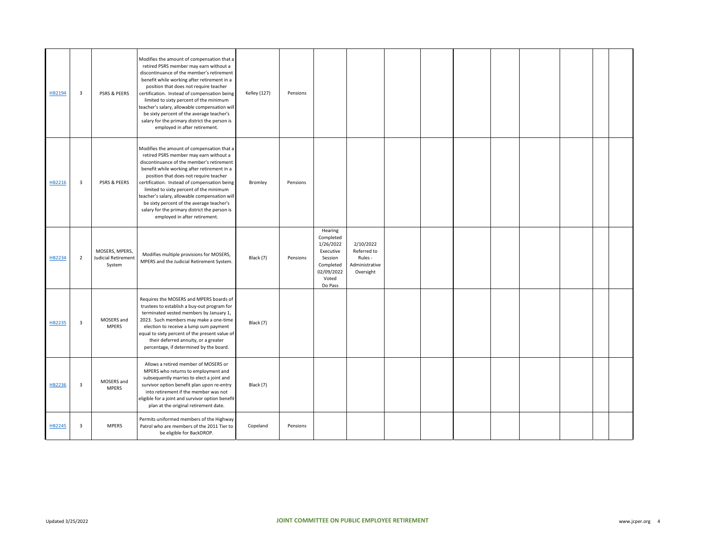| HB2194 | 3              | PSRS & PEERS                                    | Modifies the amount of compensation that a<br>retired PSRS member may earn without a<br>discontinuance of the member's retirement<br>benefit while working after retirement in a<br>position that does not require teacher<br>certification. Instead of compensation being<br>limited to sixty percent of the minimum<br>teacher's salary, allowable compensation will<br>be sixty percent of the average teacher's<br>salary for the primary district the person is<br>employed in after retirement. | <b>Kelley</b> (127) | Pensions |                                                                                                          |                                                                    |  |  |  |  |
|--------|----------------|-------------------------------------------------|-------------------------------------------------------------------------------------------------------------------------------------------------------------------------------------------------------------------------------------------------------------------------------------------------------------------------------------------------------------------------------------------------------------------------------------------------------------------------------------------------------|---------------------|----------|----------------------------------------------------------------------------------------------------------|--------------------------------------------------------------------|--|--|--|--|
| HB2216 | 3              | PSRS & PEERS                                    | Modifies the amount of compensation that a<br>retired PSRS member may earn without a<br>discontinuance of the member's retirement<br>benefit while working after retirement in a<br>position that does not require teacher<br>certification. Instead of compensation being<br>limited to sixty percent of the minimum<br>teacher's salary, allowable compensation will<br>be sixty percent of the average teacher's<br>salary for the primary district the person is<br>employed in after retirement. | Bromley             | Pensions |                                                                                                          |                                                                    |  |  |  |  |
| HB2234 | $\overline{2}$ | MOSERS, MPERS,<br>Judicial Retirement<br>System | Modifies multiple provisions for MOSERS,<br>MPERS and the Judicial Retirement System.                                                                                                                                                                                                                                                                                                                                                                                                                 | Black (7)           | Pensions | Hearing<br>Completed<br>1/26/2022<br>Executive<br>Session<br>Completed<br>02/09/2022<br>Voted<br>Do Pass | 2/10/2022<br>Referred to<br>Rules -<br>Administrative<br>Oversight |  |  |  |  |
| HB2235 | 3              | MOSERS and<br><b>MPERS</b>                      | Requires the MOSERS and MPERS boards of<br>trustees to establish a buy-out program for<br>terminated vested members by January 1,<br>2023. Such members may make a one-time<br>election to receive a lump sum payment<br>equal to sixty percent of the present value of<br>their deferred annuity, or a greater<br>percentage, if determined by the board.                                                                                                                                            | Black (7)           |          |                                                                                                          |                                                                    |  |  |  |  |
| HB2236 | 3              | MOSERS and<br><b>MPERS</b>                      | Allows a retired member of MOSERS or<br>MPERS who returns to employment and<br>subsequently marries to elect a joint and<br>survivor option benefit plan upon re-entry<br>into retirement if the member was not<br>eligible for a joint and survivor option benefit<br>plan at the original retirement date.                                                                                                                                                                                          | Black (7)           |          |                                                                                                          |                                                                    |  |  |  |  |
| HB2245 | 3              | <b>MPERS</b>                                    | Permits uniformed members of the Highway<br>Patrol who are members of the 2011 Tier to<br>be eligible for BackDROP.                                                                                                                                                                                                                                                                                                                                                                                   | Copeland            | Pensions |                                                                                                          |                                                                    |  |  |  |  |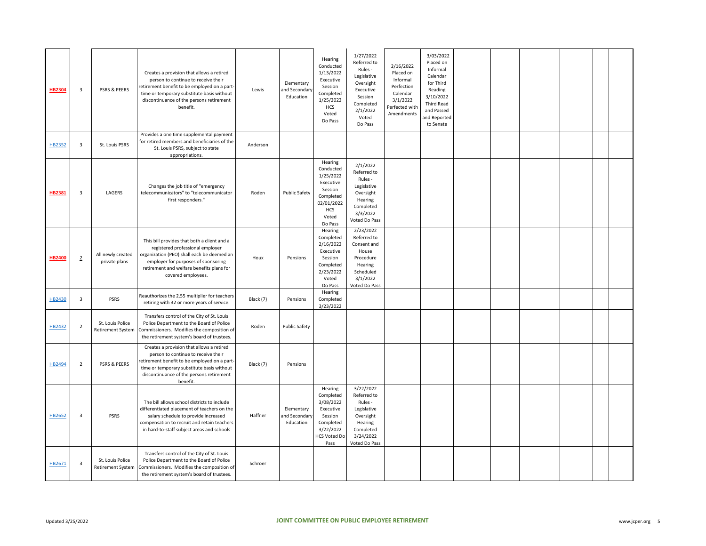| <b>HB2304</b> | $\overline{\mathbf{3}}$ | PSRS & PEERS                                 | Creates a provision that allows a retired<br>person to continue to receive their<br>retirement benefit to be employed on a part-<br>time or temporary substitute basis without<br>discontinuance of the persons retirement<br>benefit.  | Lewis     | Elementary<br>and Secondary<br>Education | Hearing<br>Conducted<br>1/13/2022<br>Executive<br>Session<br>Completed<br>1/25/2022<br>HCS<br>Voted<br>Do Pass         | 1/27/2022<br>Referred to<br>Rules -<br>Legislative<br>Oversight<br>Executive<br>Session<br>Completed<br>2/1/2022<br>Voted<br>Do Pass | 2/16/2022<br>Placed on<br>Informal<br>Perfection<br>Calendar<br>3/1/2022<br>Perfected with<br>Amendments | 3/03/2022<br>Placed on<br>Informal<br>Calendar<br>for Third<br>Reading<br>3/10/2022<br><b>Third Read</b><br>and Passed<br>and Reported<br>to Senate |  |  |  |
|---------------|-------------------------|----------------------------------------------|-----------------------------------------------------------------------------------------------------------------------------------------------------------------------------------------------------------------------------------------|-----------|------------------------------------------|------------------------------------------------------------------------------------------------------------------------|--------------------------------------------------------------------------------------------------------------------------------------|----------------------------------------------------------------------------------------------------------|-----------------------------------------------------------------------------------------------------------------------------------------------------|--|--|--|
| HB2352        | $\overline{\mathbf{3}}$ | St. Louis PSRS                               | Provides a one time supplemental payment<br>for retired members and beneficiaries of the<br>St. Louis PSRS, subject to state<br>appropriations.                                                                                         | Anderson  |                                          |                                                                                                                        |                                                                                                                                      |                                                                                                          |                                                                                                                                                     |  |  |  |
| <b>HB2381</b> | $\overline{\mathbf{3}}$ | LAGERS                                       | Changes the job title of "emergency<br>telecommunicators" to "telecommunicator<br>first responders."                                                                                                                                    | Roden     | Public Safety                            | Hearing<br>Conducted<br>1/25/2022<br>Executive<br>Session<br>Completed<br>02/01/2022<br><b>HCS</b><br>Voted<br>Do Pass | 2/1/2022<br>Referred to<br>Rules -<br>Legislative<br>Oversight<br>Hearing<br>Completed<br>3/3/2022<br>Voted Do Pass                  |                                                                                                          |                                                                                                                                                     |  |  |  |
| <b>HB2400</b> | $\overline{2}$          | All newly created<br>private plans           | This bill provides that both a client and a<br>registered professional employer<br>organization (PEO) shall each be deemed an<br>employer for purposes of sponsoring<br>retirement and welfare benefits plans for<br>covered employees. | Houx      | Pensions                                 | Hearing<br>Completed<br>2/16/2022<br>Executive<br>Session<br>Completed<br>2/23/2022<br>Voted<br>Do Pass                | 2/23/2022<br>Referred to<br>Consent and<br>House<br>Procedure<br>Hearing<br>Scheduled<br>3/1/2022<br>Voted Do Pass                   |                                                                                                          |                                                                                                                                                     |  |  |  |
| HB2430        | $\overline{3}$          | <b>PSRS</b>                                  | Reauthorizes the 2.55 multiplier for teachers<br>retiring with 32 or more years of service.                                                                                                                                             | Black (7) | Pensions                                 | Hearing<br>Completed<br>3/23/2022                                                                                      |                                                                                                                                      |                                                                                                          |                                                                                                                                                     |  |  |  |
| HB2432        | $\overline{2}$          | St. Louis Police<br><b>Retirement System</b> | Transfers control of the City of St. Louis<br>Police Department to the Board of Police<br>Commissioners. Modifies the composition of<br>the retirement system's board of trustees.                                                      | Roden     | <b>Public Safety</b>                     |                                                                                                                        |                                                                                                                                      |                                                                                                          |                                                                                                                                                     |  |  |  |
| HB2494        | $\overline{2}$          | <b>PSRS &amp; PEERS</b>                      | Creates a provision that allows a retired<br>person to continue to receive their<br>retirement benefit to be employed on a part-<br>time or temporary substitute basis without<br>discontinuance of the persons retirement<br>benefit.  | Black (7) | Pensions                                 |                                                                                                                        |                                                                                                                                      |                                                                                                          |                                                                                                                                                     |  |  |  |
| HB2652        | $\overline{\mathbf{3}}$ | <b>PSRS</b>                                  | The bill allows school districts to include<br>differentiated placement of teachers on the<br>salary schedule to provide increased<br>compensation to recruit and retain teachers<br>in hard-to-staff subject areas and schools         | Haffner   | Elementary<br>and Secondary<br>Education | Hearing<br>Completed<br>3/08/2022<br>Executive<br>Session<br>Completed<br>3/22/2022<br><b>HCS Voted Do</b><br>Pass     | 3/22/2022<br>Referred to<br>Rules -<br>Legislative<br>Oversight<br>Hearing<br>Completed<br>3/24/2022<br>Voted Do Pass                |                                                                                                          |                                                                                                                                                     |  |  |  |
| HB2671        | $\overline{\mathbf{3}}$ | St. Louis Police<br>Retirement System        | Transfers control of the City of St. Louis<br>Police Department to the Board of Police<br>Commissioners. Modifies the composition of<br>the retirement system's board of trustees.                                                      | Schroer   |                                          |                                                                                                                        |                                                                                                                                      |                                                                                                          |                                                                                                                                                     |  |  |  |